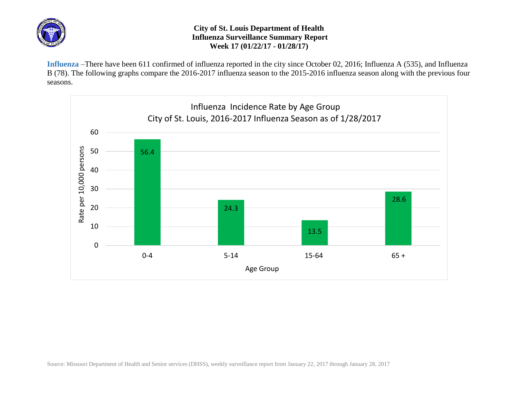

## **City of St. Louis Department of Health Influenza Surveillance Summary Report Week 17 (01/22/17 - 01/28/17)**

**Influenza** –There have been 611 confirmed of influenza reported in the city since October 02, 2016; Influenza A (535), and Influenza B (78). The following graphs compare the 2016-2017 influenza season to the 2015-2016 influenza season along with the previous four seasons.